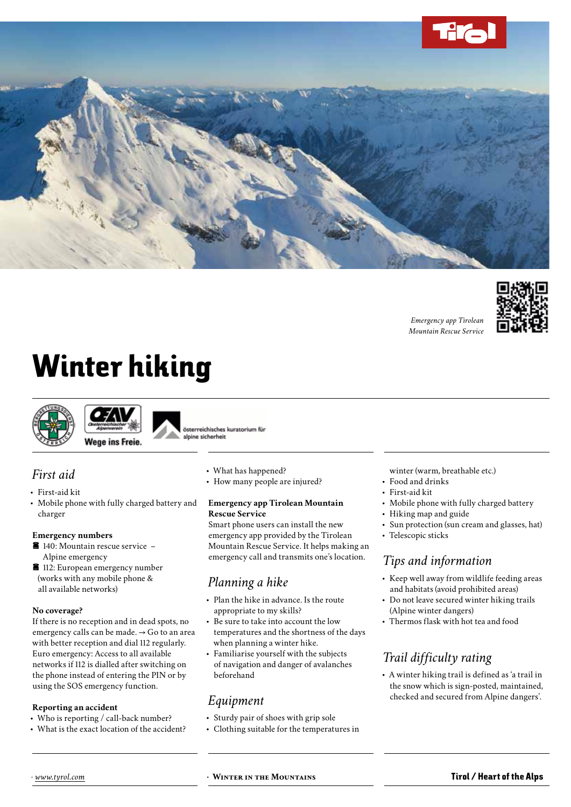

*Emergency app Tirolean Mountain Rescue Service*



# Winter hiking





österreichisches kuratorium für alpine sicherheit

### *First aid*

- • First-aid kit
- • Mobile phone with fully charged battery and charger

### **Emergency numbers**

- $\blacksquare$  140: Mountain rescue service Alpine emergency
- **112: European emergency number** (works with any mobile phone & all available networks)

**No coverage?** If there is no reception and in dead spots, no emergency calls can be made. → Go to an area with better reception and dial 112 regularly. Euro emergency: Access to all available networks if 112 is dialled after switching on the phone instead of entering the PIN or by using the SOS emergency function.

- **Reporting an accident**<br>• Who is reporting / call-back number?
- What is the exact location of the accident?
- What has happened?
- How many people are injured?

# **Emergency app Tirolean Mountain**

Smart phone users can install the new emergency app provided by the Tirolean Mountain Rescue Service. It helps making an emergency call and transmits one's location.

### *Planning a hike*

- Plan the hike in advance. Is the route appropriate to my skills?
- Be sure to take into account the low temperatures and the shortness of the days when planning a winter hike.
- • Familiarise yourself with the subjects of navigation and danger of avalanches beforehand

### *Equipment*

- • Sturdy pair of shoes with grip sole
- • Clothing suitable for the temperatures in
- winter (warm, breathable etc.)
- Food and drinks
- • First-aid kit
- Mobile phone with fully charged battery
- Hiking map and guide
- • Sun protection (sun cream and glasses, hat)
- Telescopic sticks

### *Tips and information*

- Keep well away from wildlife feeding areas and habitats (avoid prohibited areas)
- Do not leave secured winter hiking trails (Alpine winter dangers)
- • Thermos flask with hot tea and food

### *Trail difficulty rating*

• A winter hiking trail is defined as 'a trail in the snow which is sign-posted, maintained, checked and secured from Alpine dangers'.

*· www.tyrol.com* **· Winter in the Mountains** Tirol / Heart of the Alps